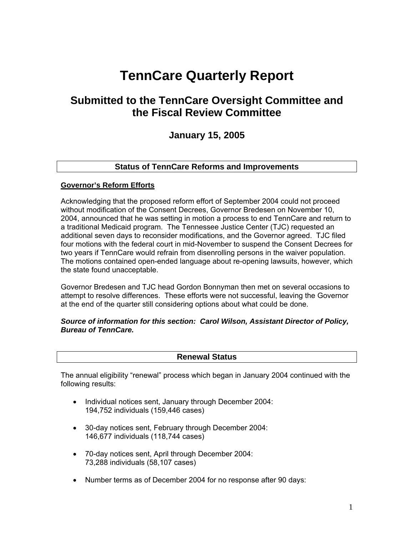# **TennCare Quarterly Report**

## **Submitted to the TennCare Oversight Committee and the Fiscal Review Committee**

## **January 15, 2005**

## **Status of TennCare Reforms and Improvements**

#### **Governor's Reform Efforts**

Acknowledging that the proposed reform effort of September 2004 could not proceed without modification of the Consent Decrees, Governor Bredesen on November 10, 2004, announced that he was setting in motion a process to end TennCare and return to a traditional Medicaid program. The Tennessee Justice Center (TJC) requested an additional seven days to reconsider modifications, and the Governor agreed. TJC filed four motions with the federal court in mid-November to suspend the Consent Decrees for two years if TennCare would refrain from disenrolling persons in the waiver population. The motions contained open-ended language about re-opening lawsuits, however, which the state found unacceptable.

Governor Bredesen and TJC head Gordon Bonnyman then met on several occasions to attempt to resolve differences. These efforts were not successful, leaving the Governor at the end of the quarter still considering options about what could be done.

#### *Source of information for this section: Carol Wilson, Assistant Director of Policy, Bureau of TennCare.*

#### **Renewal Status**

The annual eligibility "renewal" process which began in January 2004 continued with the following results:

- Individual notices sent, January through December 2004: 194,752 individuals (159,446 cases)
- 30-day notices sent, February through December 2004: 146,677 individuals (118,744 cases)
- 70-day notices sent, April through December 2004: 73,288 individuals (58,107 cases)
- Number terms as of December 2004 for no response after 90 days: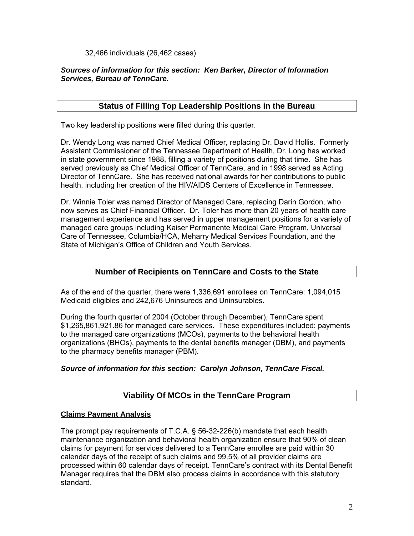32,466 individuals (26,462 cases)

## *Sources of information for this section: Ken Barker, Director of Information Services, Bureau of TennCare.*

## **Status of Filling Top Leadership Positions in the Bureau**

Two key leadership positions were filled during this quarter.

Dr. Wendy Long was named Chief Medical Officer, replacing Dr. David Hollis. Formerly Assistant Commissioner of the Tennessee Department of Health, Dr. Long has worked in state government since 1988, filling a variety of positions during that time. She has served previously as Chief Medical Officer of TennCare, and in 1998 served as Acting Director of TennCare. She has received national awards for her contributions to public health, including her creation of the HIV/AIDS Centers of Excellence in Tennessee.

Dr. Winnie Toler was named Director of Managed Care, replacing Darin Gordon, who now serves as Chief Financial Officer. Dr. Toler has more than 20 years of health care management experience and has served in upper management positions for a variety of managed care groups including Kaiser Permanente Medical Care Program, Universal Care of Tennessee, Columbia/HCA, Meharry Medical Services Foundation, and the State of Michigan's Office of Children and Youth Services.

## **Number of Recipients on TennCare and Costs to the State**

As of the end of the quarter, there were 1,336,691 enrollees on TennCare: 1,094,015 Medicaid eligibles and 242,676 Uninsureds and Uninsurables.

During the fourth quarter of 2004 (October through December), TennCare spent \$1,265,861,921.86 for managed care services. These expenditures included: payments to the managed care organizations (MCOs), payments to the behavioral health organizations (BHOs), payments to the dental benefits manager (DBM), and payments to the pharmacy benefits manager (PBM).

## *Source of information for this section: Carolyn Johnson, TennCare Fiscal.*

## **Viability Of MCOs in the TennCare Program**

## **Claims Payment Analysis**

The prompt pay requirements of T.C.A. § 56-32-226(b) mandate that each health maintenance organization and behavioral health organization ensure that 90% of clean claims for payment for services delivered to a TennCare enrollee are paid within 30 calendar days of the receipt of such claims and 99.5% of all provider claims are processed within 60 calendar days of receipt. TennCare's contract with its Dental Benefit Manager requires that the DBM also process claims in accordance with this statutory standard.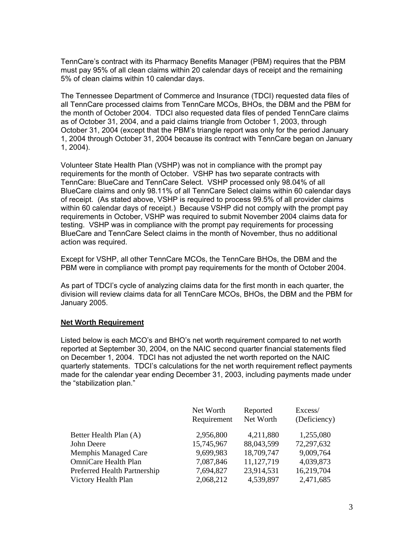TennCare's contract with its Pharmacy Benefits Manager (PBM) requires that the PBM must pay 95% of all clean claims within 20 calendar days of receipt and the remaining 5% of clean claims within 10 calendar days.

The Tennessee Department of Commerce and Insurance (TDCI) requested data files of all TennCare processed claims from TennCare MCOs, BHOs, the DBM and the PBM for the month of October 2004. TDCI also requested data files of pended TennCare claims as of October 31, 2004, and a paid claims triangle from October 1, 2003, through October 31, 2004 (except that the PBM's triangle report was only for the period January 1, 2004 through October 31, 2004 because its contract with TennCare began on January 1, 2004).

Volunteer State Health Plan (VSHP) was not in compliance with the prompt pay requirements for the month of October. VSHP has two separate contracts with TennCare: BlueCare and TennCare Select. VSHP processed only 98.04% of all BlueCare claims and only 98.11% of all TennCare Select claims within 60 calendar days of receipt. (As stated above, VSHP is required to process 99.5% of all provider claims within 60 calendar days of receipt.) Because VSHP did not comply with the prompt pay requirements in October, VSHP was required to submit November 2004 claims data for testing. VSHP was in compliance with the prompt pay requirements for processing BlueCare and TennCare Select claims in the month of November, thus no additional action was required.

Except for VSHP, all other TennCare MCOs, the TennCare BHOs, the DBM and the PBM were in compliance with prompt pay requirements for the month of October 2004.

As part of TDCI's cycle of analyzing claims data for the first month in each quarter, the division will review claims data for all TennCare MCOs, BHOs, the DBM and the PBM for January 2005.

#### **Net Worth Requirement**

Listed below is each MCO's and BHO's net worth requirement compared to net worth reported at September 30, 2004, on the NAIC second quarter financial statements filed on December 1, 2004. TDCI has not adjusted the net worth reported on the NAIC quarterly statements. TDCI's calculations for the net worth requirement reflect payments made for the calendar year ending December 31, 2003, including payments made under the "stabilization plan."

|                              | Net Worth   | Reported   | Excess/      |
|------------------------------|-------------|------------|--------------|
|                              | Requirement | Net Worth  | (Deficiency) |
| Better Health Plan (A)       | 2,956,800   | 4,211,880  | 1,255,080    |
| John Deere                   | 15,745,967  | 88,043,599 | 72,297,632   |
| <b>Memphis Managed Care</b>  | 9,699,983   | 18,709,747 | 9,009,764    |
| OmniCare Health Plan         | 7,087,846   | 11,127,719 | 4,039,873    |
| Preferred Health Partnership | 7,694,827   | 23,914,531 | 16,219,704   |
| Victory Health Plan          | 2,068,212   | 4,539,897  | 2,471,685    |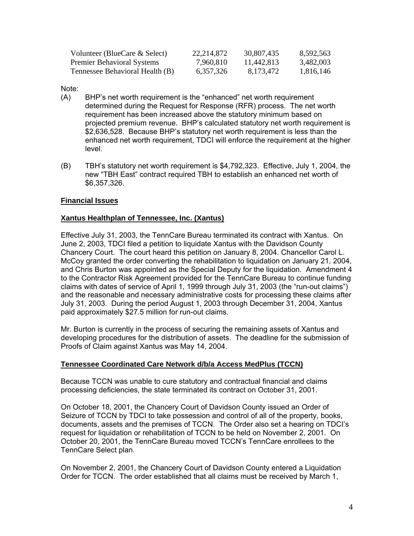| Volunteer (BlueCare & Select)     | 22.214.872 | 30.807.435 | 8,592,563 |
|-----------------------------------|------------|------------|-----------|
| <b>Premier Behavioral Systems</b> | 7,960,810  | 11.442.813 | 3,482,003 |
| Tennessee Behavioral Health (B)   | 6.357.326  | 8.173.472  | 1,816,146 |

Note:

- (A) BHP's net worth requirement is the "enhanced" net worth requirement determined during the Request for Response (RFR) process. The net worth requirement has been increased above the statutory minimum based on projected premium revenue. BHP's calculated statutory net worth requirement is \$2,636,528. Because BHP's statutory net worth requirement is less than the enhanced net worth requirement, TDCI will enforce the requirement at the higher level.
- (B) TBH's statutory net worth requirement is \$4,792,323. Effective, July 1, 2004, the new "TBH East" contract required TBH to establish an enhanced net worth of \$6,357,326.

## **Financial Issues**

## **Xantus Healthplan of Tennessee, Inc. (Xantus)**

Effective July 31, 2003, the TennCare Bureau terminated its contract with Xantus. On June 2, 2003, TDCI filed a petition to liquidate Xantus with the Davidson County Chancery Court. The court heard this petition on January 8, 2004. Chancellor Carol L. McCoy granted the order converting the rehabilitation to liquidation on January 21, 2004, and Chris Burton was appointed as the Special Deputy for the liquidation. Amendment 4 to the Contractor Risk Agreement provided for the TennCare Bureau to continue funding claims with dates of service of April 1, 1999 through July 31, 2003 (the "run-out claims") and the reasonable and necessary administrative costs for processing these claims after July 31, 2003. During the period August 1, 2003 through December 31, 2004, Xantus paid approximately \$27.5 million for run-out claims.

Mr. Burton is currently in the process of securing the remaining assets of Xantus and developing procedures for the distribution of assets. The deadline for the submission of Proofs of Claim against Xantus was May 14, 2004.

## **Tennessee Coordinated Care Network d/b/a Access MedPlus (TCCN)**

Because TCCN was unable to cure statutory and contractual financial and claims processing deficiencies, the state terminated its contract on October 31, 2001.

On October 18, 2001, the Chancery Court of Davidson County issued an Order of Seizure of TCCN by TDCI to take possession and control of all of the property, books, documents, assets and the premises of TCCN. The Order also set a hearing on TDCI's request for liquidation or rehabilitation of TCCN to be held on November 2, 2001. On October 20, 2001, the TennCare Bureau moved TCCN's TennCare enrollees to the TennCare Select plan.

On November 2, 2001, the Chancery Court of Davidson County entered a Liquidation Order for TCCN. The order established that all claims must be received by March 1,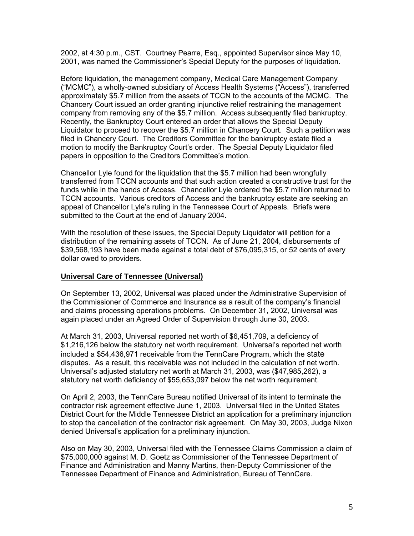2002, at 4:30 p.m., CST. Courtney Pearre, Esq., appointed Supervisor since May 10, 2001, was named the Commissioner's Special Deputy for the purposes of liquidation.

Before liquidation, the management company, Medical Care Management Company ("MCMC"), a wholly-owned subsidiary of Access Health Systems ("Access"), transferred approximately \$5.7 million from the assets of TCCN to the accounts of the MCMC. The Chancery Court issued an order granting injunctive relief restraining the management company from removing any of the \$5.7 million. Access subsequently filed bankruptcy. Recently, the Bankruptcy Court entered an order that allows the Special Deputy Liquidator to proceed to recover the \$5.7 million in Chancery Court. Such a petition was filed in Chancery Court. The Creditors Committee for the bankruptcy estate filed a motion to modify the Bankruptcy Court's order. The Special Deputy Liquidator filed papers in opposition to the Creditors Committee's motion.

Chancellor Lyle found for the liquidation that the \$5.7 million had been wrongfully transferred from TCCN accounts and that such action created a constructive trust for the funds while in the hands of Access. Chancellor Lyle ordered the \$5.7 million returned to TCCN accounts. Various creditors of Access and the bankruptcy estate are seeking an appeal of Chancellor Lyle's ruling in the Tennessee Court of Appeals. Briefs were submitted to the Court at the end of January 2004.

With the resolution of these issues, the Special Deputy Liquidator will petition for a distribution of the remaining assets of TCCN. As of June 21, 2004, disbursements of \$39,568,193 have been made against a total debt of \$76,095,315, or 52 cents of every dollar owed to providers.

#### **Universal Care of Tennessee (Universal)**

On September 13, 2002, Universal was placed under the Administrative Supervision of the Commissioner of Commerce and Insurance as a result of the company's financial and claims processing operations problems. On December 31, 2002, Universal was again placed under an Agreed Order of Supervision through June 30, 2003.

At March 31, 2003, Universal reported net worth of \$6,451,709, a deficiency of \$1,216,126 below the statutory net worth requirement. Universal's reported net worth included a \$54,436,971 receivable from the TennCare Program, which the state disputes. As a result, this receivable was not included in the calculation of net worth. Universal's adjusted statutory net worth at March 31, 2003, was (\$47,985,262), a statutory net worth deficiency of \$55,653,097 below the net worth requirement.

On April 2, 2003, the TennCare Bureau notified Universal of its intent to terminate the contractor risk agreement effective June 1, 2003. Universal filed in the United States District Court for the Middle Tennessee District an application for a preliminary injunction to stop the cancellation of the contractor risk agreement. On May 30, 2003, Judge Nixon denied Universal's application for a preliminary injunction.

Also on May 30, 2003, Universal filed with the Tennessee Claims Commission a claim of \$75,000,000 against M. D. Goetz as Commissioner of the Tennessee Department of Finance and Administration and Manny Martins, then-Deputy Commissioner of the Tennessee Department of Finance and Administration, Bureau of TennCare.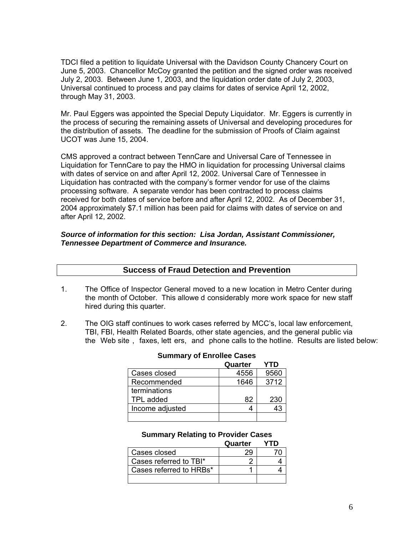TDCI filed a petition to liquidate Universal with the Davidson County Chancery Court on June 5, 2003. Chancellor McCoy granted the petition and the signed order was received July 2, 2003. Between June 1, 2003, and the liquidation order date of July 2, 2003, Universal continued to process and pay claims for dates of service April 12, 2002, through May 31, 2003.

Mr. Paul Eggers was appointed the Special Deputy Liquidator. Mr. Eggers is currently in the process of securing the remaining assets of Universal and developing procedures for the distribution of assets. The deadline for the submission of Proofs of Claim against UCOT was June 15, 2004.

CMS approved a contract between TennCare and Universal Care of Tennessee in Liquidation for TennCare to pay the HMO in liquidation for processing Universal claims with dates of service on and after April 12, 2002. Universal Care of Tennessee in Liquidation has contracted with the company's former vendor for use of the claims processing software. A separate vendor has been contracted to process claims received for both dates of service before and after April 12, 2002. As of December 31, 2004 approximately \$7.1 million has been paid for claims with dates of service on and after April 12, 2002.

#### *Source of information for this section: Lisa Jordan, Assistant Commissioner, Tennessee Department of Commerce and Insurance.*

- 1. The Office of Inspector General moved to a new location in Metro Center during the month of October. This allowe d considerably more work space for new staff hired during this quarter.
- 2. The OIG staff continues to work cases referred by MCC's, local law enforcement, TBI, FBI, Health Related Boards, other state agencies, and the general public via the Web site , faxes, lett ers, and phone calls to the hotline. Results are listed below:

|                 | Quarter | YTD  |
|-----------------|---------|------|
| Cases closed    | 4556    | 9560 |
| Recommended     | 1646    | 3712 |
| terminations    |         |      |
| TPL added       | 82      | 230  |
| Income adjusted |         |      |
|                 |         |      |

## **Summary of Enrollee Cases**

#### **Summary Relating to Provider Cases**

|                         | Quarter | ∗rD. |
|-------------------------|---------|------|
| Cases closed            |         |      |
| Cases referred to TBI*  |         |      |
| Cases referred to HRBs* |         |      |
|                         |         |      |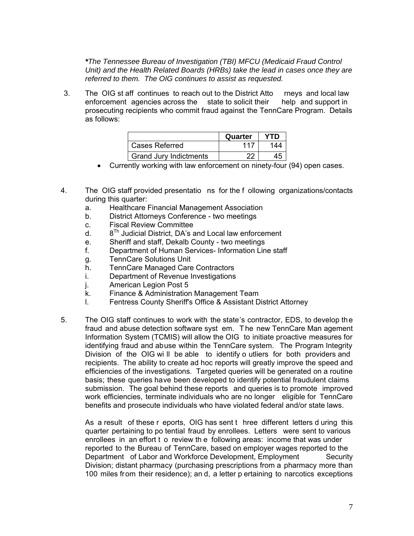*\*The Tennessee Bureau of Investigation (TBI) MFCU (Medicaid Fraud Control Unit) and the Health Related Boards (HRBs) take the lead in cases once they are referred to them. The OIG continues to assist as requested.* 

3. The OIG st aff continues to reach out to the District Atto rneys and local law enforcement agencies across the state to solicit their help and support in prosecuting recipients who commit fraud against the TennCare Program. Details as follows:

|                        | Quarter | YTD |
|------------------------|---------|-----|
| Cases Referred         | 117     | 144 |
| Grand Jury Indictments | າາ      |     |

- Currently working with law enforcement on ninety-four (94) open cases.
- 4. The OIG staff provided presentatio ns for the f ollowing organizations/contacts during this quarter:
	- a. Healthcare Financial Management Association
	- b. District Attorneys Conference two meetings
	- c. Fiscal Review Committee
	- d.  $8^{Th}$  Judicial District, DA's and Local law enforcement
	- e. Sheriff and staff, Dekalb County two meetings
	- f. Department of Human Services- Information Line staff
	- g. TennCare Solutions Unit
	- h. TennCare Managed Care Contractors<br>i. Department of Revenue Investigations
	- Department of Revenue Investigations
	- j. American Legion Post 5
	- k. Finance & Administration Management Team
	- l. Fentress County Sheriff's Office & Assistant District Attorney
- 5. The OIG staff continues to work with the state's contractor, EDS, to develop the fraud and abuse detection software syst em. T he new TennCare Man agement Information System (TCMIS) will allow the OIG to initiate proactive measures for identifying fraud and abuse within the TennCare system. The Program Integrity Division of the OIG wi ll be able to identify o utliers for both providers and recipients. The ability to create ad hoc reports will greatly improve the speed and efficiencies of the investigations. Targeted queries will be generated on a routine basis; these queries have been developed to identify potential fraudulent claims submission. The goal behind these reports and queries is to promote improved work efficiencies, terminate individuals who are no longer eligible for TennCare benefits and prosecute individuals who have violated federal and/or state laws.

 As a result of these r eports, OIG has sent t hree different letters d uring this quarter pertaining to po tential fraud by enrollees. Letters were sent to various enrollees in an effort t o review th e following areas: income that was under reported to the Bureau of TennCare, based on employer wages reported to the Department of Labor and Workforce Development, Employment Security Division; distant pharmacy (purchasing prescriptions from a pharmacy more than 100 miles from their residence); an d, a letter p ertaining to narcotics exceptions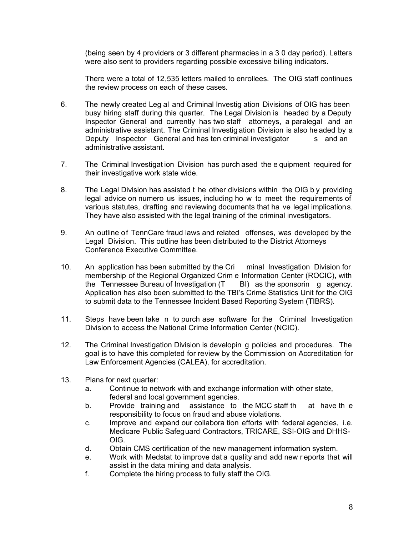(being seen by 4 providers or 3 different pharmacies in a 3 0 day period). Letters were also sent to providers regarding possible excessive billing indicators.

 There were a total of 12,535 letters mailed to enrollees. The OIG staff continues the review process on each of these cases.

- 6. The newly created Leg al and Criminal Investig ation Divisions of OIG has been busy hiring staff during this quarter. The Legal Division is headed by a Deputy Inspector General and currently has two staff attorneys, a paralegal and an administrative assistant. The Criminal Investig ation Division is also he aded by a Deputy Inspector General and has ten criminal investigator s and an administrative assistant.
- 7. The Criminal Investigat ion Division has purch ased the e quipment required for their investigative work state wide.
- 8. The Legal Division has assisted t he other divisions within the OIG b y providing legal advice on numero us issues, including ho w to meet the requirements of various statutes, drafting and reviewing documents that ha ve legal implications. They have also assisted with the legal training of the criminal investigators.
- 9. An outline of TennCare fraud laws and related offenses, was developed by the Legal Division. This outline has been distributed to the District Attorneys Conference Executive Committee.
- 10. An application has been submitted by the Cri minal Investigation Division for membership of the Regional Organized Crim e Information Center (ROCIC), with the Tennessee Bureau of Investigation (T BI) as the sponsorin g agency. Application has also been submitted to the TBI's Crime Statistics Unit for the OIG to submit data to the Tennessee Incident Based Reporting System (TIBRS).
- 11. Steps have been take n to purch ase software for the Criminal Investigation Division to access the National Crime Information Center (NCIC).
- 12. The Criminal Investigation Division is developin g policies and procedures. The goal is to have this completed for review by the Commission on Accreditation for Law Enforcement Agencies (CALEA), for accreditation.
- 13. Plans for next quarter:
	- a. Continue to network with and exchange information with other state, federal and local government agencies.
	- b. Provide training and assistance to the MCC staff th at have th e responsibility to focus on fraud and abuse violations.
	- c. Improve and expand our collabora tion efforts with federal agencies, i.e. Medicare Public Safeguard Contractors, TRICARE, SSI-OIG and DHHS-OIG.
	- d. Obtain CMS certification of the new management information system.
	- e. Work with Medstat to improve dat a quality and add new r eports that will assist in the data mining and data analysis.
	- f. Complete the hiring process to fully staff the OIG.